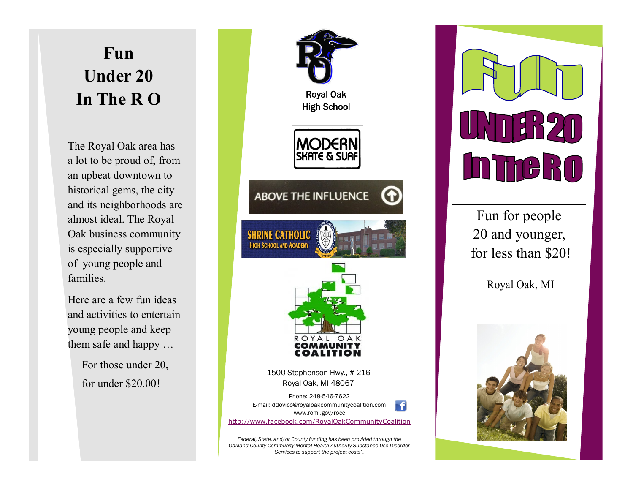# **Fun Under 20 In The R O**

The Royal Oak area has a lot to be proud of, from an upbeat downtown to historical gems, the city and its neighborhoods are almost ideal. The Royal Oak business community is especially supportive of young people and families.

Here are a few fun ideas and activities to entertain young people and keep them safe and happy …

> For those under 20, for under \$20.00!



*Oakland County Community Mental Health Authority Substance Use Disorder Services to support the project costs".*



Fun for people 20 and younger, for less than \$20!

Royal Oak, MI